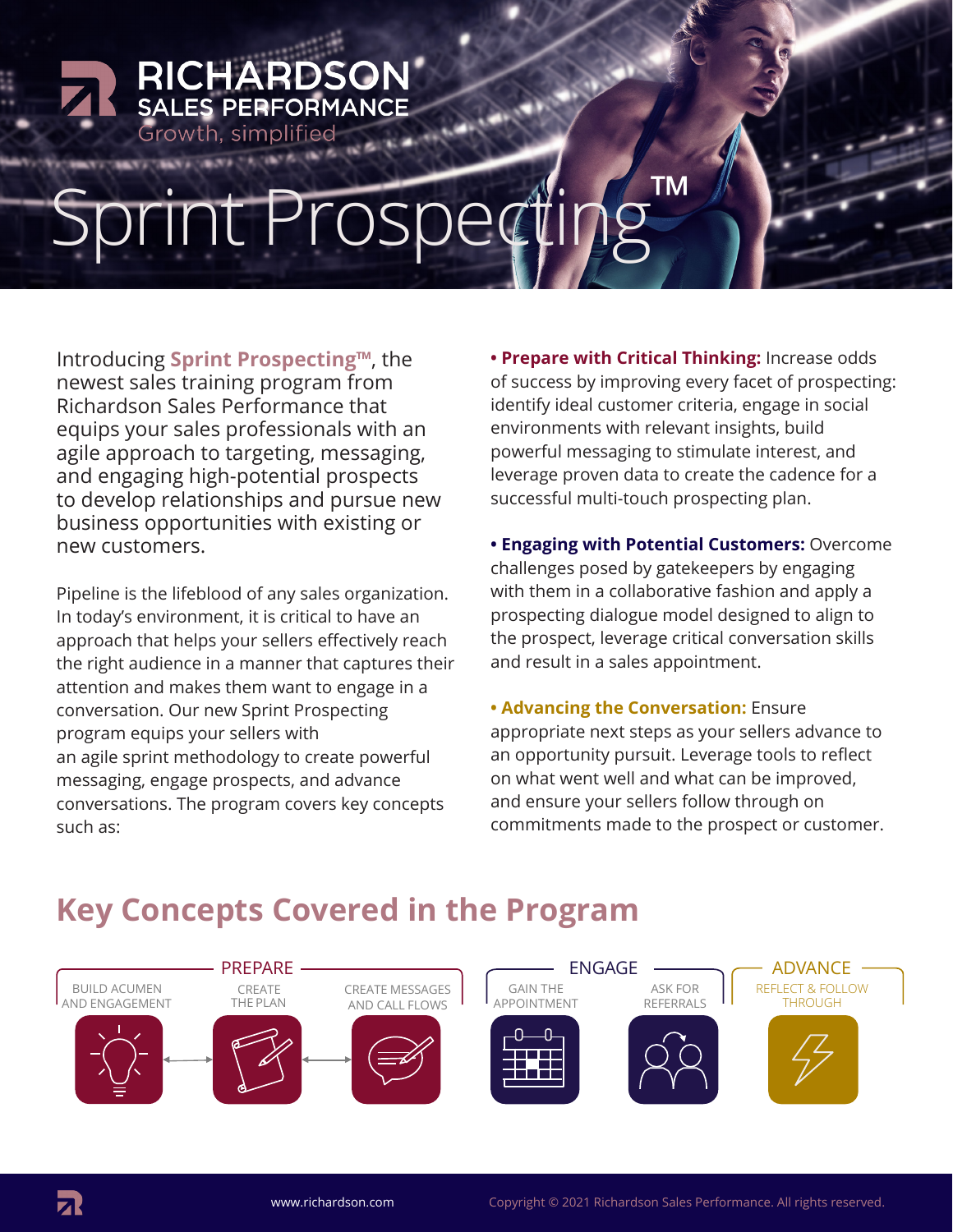# rint Prospec

Introducing **Sprint Prospecting™**, the newest sales training program from Richardson Sales Performance that equips your sales professionals with an agile approach to targeting, messaging, and engaging high-potential prospects to develop relationships and pursue new business opportunities with existing or new customers.

**RICHARDSON**<br>SALES PERFORMANCE

Growth, simplified

Pipeline is the lifeblood of any sales organization. In today's environment, it is critical to have an approach that helps your sellers effectively reach the right audience in a manner that captures their attention and makes them want to engage in a conversation. Our new Sprint Prospecting program equips your sellers with an agile sprint methodology to create powerful messaging, engage prospects, and advance conversations. The program covers key concepts such as:

**• Prepare with Critical Thinking:** Increase odds of success by improving every facet of prospecting: identify ideal customer criteria, engage in social environments with relevant insights, build powerful messaging to stimulate interest, and leverage proven data to create the cadence for a successful multi-touch prospecting plan.

**• Engaging with Potential Customers:** Overcome challenges posed by gatekeepers by engaging with them in a collaborative fashion and apply a prospecting dialogue model designed to align to the prospect, leverage critical conversation skills and result in a sales appointment.

**• Advancing the Conversation:** Ensure appropriate next steps as your sellers advance to an opportunity pursuit. Leverage tools to reflect on what went well and what can be improved, and ensure your sellers follow through on commitments made to the prospect or customer.

#### **Key Concepts Covered in the Program**